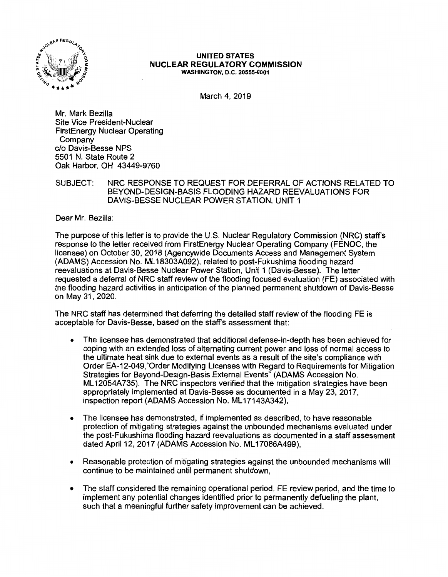

#### **UNITED STATES NUCLEAR REGULATORY COMMISSION WASHINGTON, D.C. 20555-0001**

March 4, 2019

Mr. Mark Bezilla Site Vice President-Nuclear FirstEnergy Nuclear Operating Company c/o Davis-Besse NPS 5501 N. State Route 2 Oak Harbor, OH 43449-9760

SUBJECT: NRC RESPONSE TO REQUEST FOR DEFERRAL OF ACTIONS RELATED TO BEYOND-DESIGN-BASIS FLOODING HAZARD REEVALUATIONS FOR DAVIS-BESSE NUCLEAR POWER STATION, UNIT 1

Dear Mr. Bezilla:

The purpose of this letter is to provide the U.S. Nuclear Regulatory Commission (NRC) staff's response to the letter received from FirstEnergy Nuclear Operating Company (FENOC, the licensee) on October 30, 2018 (Agencywide Documents Access and Management System (ADAMS) Accession No. ML 18303A092), related to post-Fukushima flooding hazard reevaluations at Davis-Besse Nuclear Power Station, Unit 1 (Davis-Besse). The letter requested a deferral of NRC staff review of the flooding focused evaluation (FE) associated with the flooding hazard activities in anticipation of the planned permanent shutdown of Davis-Besse on May 31, 2020.

The NRC staff has determined that deferring the detailed staff review of the flooding FE is acceptable for Davis-Besse, based on the staff's assessment that:

- The licensee has demonstrated that additional defense-in-depth has been achieved for coping with an extended loss of alternating current power and loss of normal access to the ultimate heat sink due to external events as a result of the **site's** compliance with Order EA-12-049,"0rder Modifying Licenses with Regard to Requirements for Mitigation Strategies for Beyond-Design-Basis External Events" (ADAMS Accession No. ML 12054A735). The NRC inspectors verified that the mitigation strategies have been appropriately implemented at Davis-Besse as documented in a May 23, 2017, inspection report (ADAMS Accession No. ML17143A342),
- The licensee has demonstrated, if implemented as described, to have reasonable protection of mitigating strategies against the unbounded mechanisms evaluated under the post-Fukushima flooding hazard reevaluations as documented in a staff assessment dated April 12, 2017 (ADAMS Accession No. ML 17086A499),
- Reasonable protection of mitigating strategies against the unbounded mechanisms will continue to be maintained until permanent shutdown,
- The staff considered the remaining operational period, FE review period, and the time to implement any potential changes identified prior to permanently defueling the plant, such that a meaningful further safety improvement can be achieved.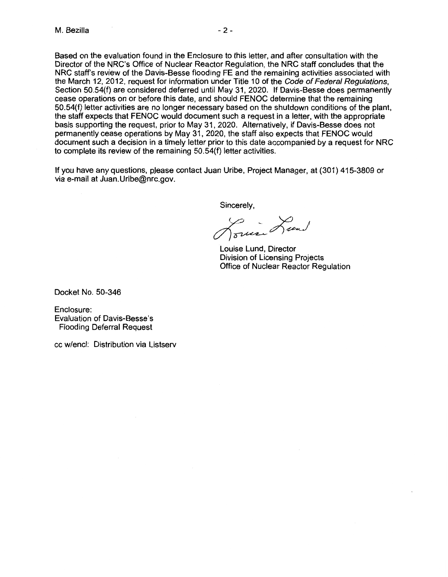Based on the evaluation found in the Enclosure to this letter, and after consultation with the Director of the NRC's Office of Nuclear Reactor Regulation, the NRC staff concludes that the NRC staff's review of the Davis-Besse flooding FE and the remaining activities associated with the March 12, 2012, request for information under Title 10 of the Code of Federal Regulations, Section 50.54(f) are considered deferred until May 31, 2020. If Davis-Besse does permanently cease operations on or before this date, and should FENOC determine that the remaining 50.54(f) letter activities are no longer necessary based on the shutdown conditions of the plant, the staff expects that FENOC would document such a request in a letter, with the appropriate basis supporting the request, prior to May 31, 2020. Alternatively, if Davis-Besse does not permanently cease operations by May 31, 2020, the staff also expects that FENOC would document such a decision in a timely letter prior to this date accompanied by a request for NRC to complete its review of the remaining 50.54(f) letter activities.

If you have any questions, pJease contact Juan Uribe, Project Manager, at (301) 415-3809 or via e-mail at Juan.Uribe@nrc.gov.

Sincerely,

Prince Lund

Louise Lund, Director Division of Licensing Projects Office of Nuclear Reactor Regulation

Docket No. 50-346

Enclosure: Evaluation of Davis-Besse's Flooding Deferral Request

cc w/encl: Distribution via Listserv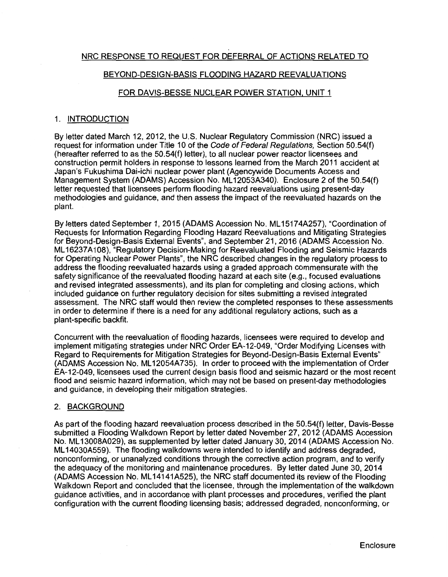## NRC RESPONSE TO REQUEST FOR DEFERRAL OF ACTIONS RELATED TO

#### BEYOND-DESIGN-BASIS FLOODING HAZARD REEVALUATIONS

## FOR DAVIS-BESSE NUCLEAR POWER STATION, UNIT 1

#### 1. INTRODUCTION

By letter dated March 12, 2012, the U.S. Nuclear Regulatory Commission (NRC) issued a request for information under Title 10 of the Code of Federal Regulations, Section 50.54(f) (hereafter referred to as the 50.54(f) letter), to all nuclear power reactor licensees and construction permit holders in response to lessons learned from the March 2011 accident at Japan's Fukushima Dai-ichi nuclear power plant (Agencywide Documents Access and Management System (ADAMS) Accession No. ML12053A340). Enclosure 2 of the 50.54(f) letter requested that licensees perform flooding hazard reevaluations using present-day methodologies and guidance, and then assess the impact of the reevaluated hazards on the plant.

By letters dated September 1, 2015 (ADAMS Accession No. ML 1517 4A257), "Coordination of Requests for Information Regarding Flooding Hazard Reevaluations and Mitigating Strategies for Beyond-Design-Basis External Events", and September 21, 2016 (ADAMS Accession No. ML 16237A108), "Regulatory Decision-Making for Reevaluated Flooding and Seismic Hazards for Operating Nuclear Power Plants", the NRC described changes in the regulatory process to address the flooding reevaluated hazards using a graded approach commensurate with the safety significance of the reevaluated flooding hazard at each site (e.g., focused evaluations and revised integrated assessments), and its plan for completing and closing actions, which included guidance on further regulatory decision for sites submitting a revised integrated assessment. The NRC staff would then review the completed responses to these assessments in order to determine if there is a need for any additional regulatory actions, such as a plant-specific backfit.

Concurrent with the reevaluation of flooding hazards, licensees were required to develop and implement mitigating strategies under NRC Order EA-12-049, "Order Modifying Licenses with Regard to Requirements for Mitigation Strategies for Beyond-Design-Basis External Events" (ADAMS Accession No. ML 12054A735). In order to proceed with the implementation of Order EA-12-049, licensees used the current design basis flood and seismic hazard or the most recent flood and seismic hazard information, which may not be based on present-day methodologies and guidance, in developing their mitigation strategies.

#### 2. BACKGROUND

As part of the flooding hazard reevaluation process described in the 50.54(f) letter, Davis-Besse submitted a Flooding Walkdown Report by letter dated November 27, 2012 (ADAMS Accession No. ML 13008A029), as supplemented by letter dated January 30, 2014 (ADAMS Accession No. ML 14030A559). The flooding walkdowns were intended to identify and address degraded, nonconforming, or unanalyzed conditions through the corrective action program, and to verify the adequacy of the monitoring and maintenance procedures. By letter dated June 30, 2014 (ADAMS Accession No. ML 14141A525), the NRC staff documented its review of the Flooding Walkdown Report and concluded that the licensee, through the implementation of the walkdown guidance activities, and in accordance with plant processes and procedures, verified the plant configuration with the current flooding licensing basis; addressed degraded, nonconforming, or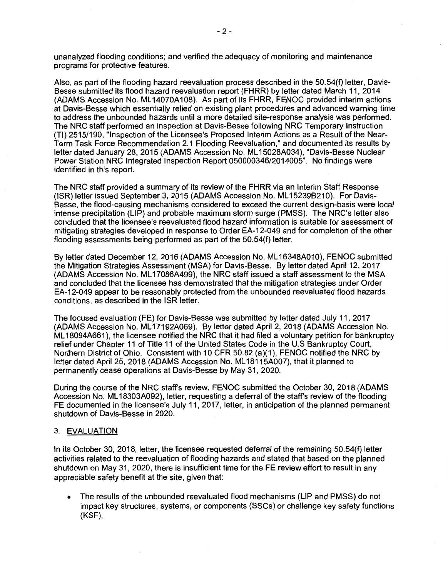unanalyzed flooding conditions; and verified the adequacy of monitoring and maintenance programs for protective features.

Also, as part of the flooding hazard reevaluation process described in the 50.54(f) letter, Davis-Besse submitted its flood hazard reevaluation report (FHRR) by letter dated March 11, 2014 (ADAMS Accession No. ML14070A108). As part of its FHRR, FENOC provided interim actions at Davis-Besse which essentially relied on existing plant procedures and advanced warning time to address the unbounded hazards until a more detailed site-response analysis was performed. The NRC staff performed an inspection at Davis-Besse following NRC Temporary Instruction (Tl) 2515/190, "Inspection of the Licensee's Proposed Interim Actions as a Result of the Near-Term Task Force Recommendation 2.1 Flooding Reevaluation," and documented its results by letter dated January 28, 2015 (ADAMS Accession No. ML 15028A034), "Davis-Besse Nuclear Power Station NRC Integrated Inspection Report 050000346/2014005". No findings were identified in this report.

The NRC staff provided a summary of its review of the FHRR via an Interim Staff Response (ISR) letter issued September 3, 2015 (ADAMS Accession No. ML 152398210). For Davis-Besse, the flood-causing mechanisms considered to exceed the current design-basis were local intense precipitation (LIP) and probable maximum storm surge (PMSS). The NRC's letter also concluded that the licensee's reevaluated flood hazard information is suitable for assessment of mitigating strategies developed in response to Order EA-12-049 and for completion of the other flooding assessments being performed as part of the 50.54(f) letter.

By letter dated December 12, 2016 (ADAMS Accession No. ML 16348A010), FENOC submitted the Mitigation Strategies Assessment (MSA) for Davis-Besse. By letter dated April 12, 2017 (ADAMS Accession No. ML 17086A499), the NRC staff issued a staff assessment to the MSA and concluded that the licensee has demonstrated that the mitigation strategies under Order EA-12-049 appear to be reasonably protected from the unbounded reevaluated flood hazards conditions, as described in the ISR letter.

The focused evaluation (FE) for Davis-Besse was submitted by letter dated July 11, 2017 (ADAMS Accession No. ML 17192A069). By letter dated April 2, 2018 (ADAMS Accession No. ML 18094A661 ), the licensee notified the NRC that it had filed a voluntary petition for bankruptcy relief under Chapter 11 of Title 11 of the United States Code in the U.S Bankruptcy Court, Northern District of Ohio. Consistent with 10 CFR 50.82 (a)(1 ), FENOC notified the NRC by letter dated April 25, 2018 (ADAMS Accession No. ML18115A007), that it planned to permanently cease operations at Davis-Besse by May 31, 2020.

During the course of the NRC staff's review, FENOC submitted the October 30, 2018 (ADAMS Accession No. ML 18303A092), letter, requesting a deferral of the staff's review of the flooding FE documented in the licensee's July 11, 2017, letter, in anticipation of the planned permanent shutdown of Davis-Besse in 2020.

## 3. EVALUATION

In its October 30, 2018, letter, the licensee requested deferral of the remaining 50.54(f) letter activities related to the reevaluation of flooding hazards and stated that based on the planned shutdown on May 31, 2020, there is insufficient time for the FE review effort to result in any appreciable safety benefit at the site, given that:

• The results of the unbounded reevaluated flood mechanisms (LIP and PMSS) do not impact key structures, systems, or components (SSCs) or challenge key safety functions (KSF),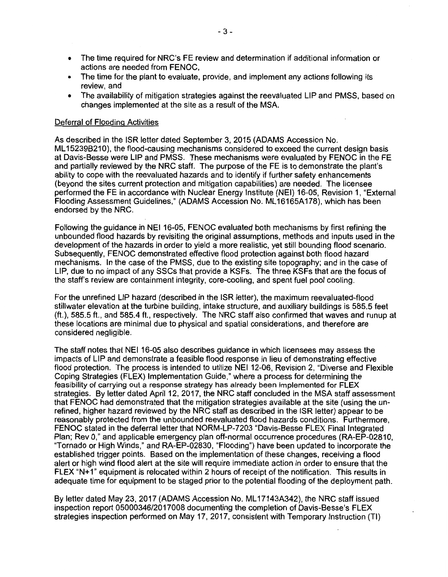- The time required for NRC's FE review and determination if additional information or actions are needed from FENOC,
- The time for the plant to evaluate, provide, and implement any actions following its review, and
- The availability of mitigation strategies against the reevaluated LIP and PMSS, based on changes implemented at the site as a result of the MSA.

#### Deferral of Flooding Activities

As described in the ISR letter dated September 3, 2015 (ADAMS Accession No. ML 152396210), the flood-causing mechanisms considered to exceed the current design basis at Davis-Besse were LIP and PMSS. These mechanisms were evaluated by FENOC in the FE and partially reviewed by the NRC staff. The purpose of the FE is to demonstrate the plant's ability to cope with the reevaluated hazards and to identify if further safety enhancements (beyond the sites current protection and mitigation capabilities) are needed. The licensee performed the FE in accordance with Nuclear Energy Institute (NEI) 16-05, Revision 1, "External Flooding Assessment Guidelines," (ADAMS Accession No. ML 16165A178), which has been endorsed by the NRC.

Following the guidance in NEI 16-05, FENOC evaluated both mechanisms by first refining the unbounded flood hazards by revisiting the original assumptions, methods and inputs used in the development of the hazards in order to yield a more realistic, yet still bounding flood scenario. Subsequently, FENOC demonstrated effective flood protection against both flood hazard mechanisms. In the case of the PMSS, due to the existing site topography; and in the case of LIP, due to no impact of any SSCs that provide a KSFs. The three KSFs that are the focus of the staff's review are containment integrity, core-cooling, and spent fuel pool cooling.

For the unrefined LIP hazard (described in the ISR letter), the maximum reevaluated-flood stillwater elevation at the turbine building, intake structure, and auxiliary buildings is 585.5 feet (ft.), 585.5 ft., and 585.4 ft., respectively. The NRC staff also confirmed that waves and runup at these locations are minimal due to physical and spatial considerations, and therefore are considered negligible.

The staff notes that NEI 16-05 also describes guidance in which licensees may assess the impacts of LIP and demonstrate a feasible flood response in lieu of demonstrating effective flood protection. The process is intended to utilize NEI 12-06, Revision 2, "Diverse and Flexible Coping Strategies (FLEX) Implementation Guide," where a process for determining the feasibility of carrying out a response strategy has already been implemented for FLEX strategies. By letter dated April 12, 2017, the NRC staff concluded in the MSA staff assessment that FENOC had demonstrated that the mitigation strategies available at the site (using the unrefined, higher hazard reviewed by the NRC staff as described in the ISR letter) appear to be reasonably protected from the unbounded reevaluated flood hazards conditions. Furthermore, FENOC stated in the deferral letter that NORM-LP-7203 "Davis-Besse FLEX Final Integrated Plan; Rev O," and applicable emergency plan off-normal occurrence procedures (RA-EP-02810, "Tornado or High Winds," and RA-EP-02830, "Flooding") have been updated to incorporate the established trigger points. Based on the implementation of these changes, receiving a flood alert or high wind flood alert at the site will require immediate action in order to ensure that the FLEX "N+1" equipment is relocated within 2 hours of receipt of the notification. This results in adequate time for equipment to be staged prior to the potential flooding of the deployment path.

By letter dated May 23, 2017 (ADAMS Accession No. ML 17143A342), the NRC staff issued inspection report 05000346/2017008 documenting the completion of Davis-Besse's FLEX strategies inspection performed on May 17, 2017, consistent with Temporary Instruction (Tl)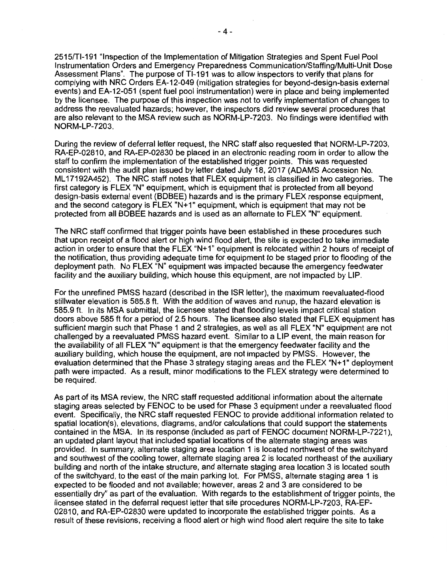2515/Tl-191 "Inspection of the Implementation of Mitigation Strategies and Spent Fuel Pool Instrumentation Orders and Emergency Preparedness Communication/Staffing/Multi-Unit Dose Assessment Plans". The purpose of Tl-191 was to allow inspectors to verify that plans for complying with NRC Orders EA-12-049 (mitigation strategies for beyond-design-basis external events) and EA-12-051 (spent fuel pool instrumentation) were in place and being implemented by the licensee. The purpose of this inspection was not to verify implementation of changes to address the reevaluated hazards; however, the inspectors did review several procedures that are also relevant to the MSA review such as NORM-LP-7203. No findings were identified with NORM-LP-7203.

During the review of deferral letter request, the NRC staff also requested that NORM-LP-7203, RA-EP-02810, and RA-EP-02830 be placed in an electronic reading room in order to allow the staff to confirm the implementation of the established trigger points. This was requested consistent with the audit plan issued by letter dated July 18, 2017 (ADAMS Accession No. ML 17192A452). The NRC staff notes that FLEX equipment is classified in two categories. The first category is FLEX "N" equipment, which is equipment that is protected from all beyond design-basis external event (BDBEE) hazards and is the primary FLEX response equipment, and the second category is FLEX "N+1" equipment, which is equipment that may not be protected from all BDBEE hazards and is used as an alternate to FLEX "N" equipment.

The NRC staff confirmed that trigger points have been established in these procedures such that upon receipt of a flood alert or high wind flood alert, the site is expected to take immediate action in order to ensure that the FLEX "N+1" equipment is relocated within 2 hours of receipt of the notification, thus providing adequate time for equipment to be staged prior to flooding of the deployment path. No FLEX "N" equipment was impacted because the emergency feedwater facility and the auxiliary building, which house this equipment, are not impacted by LIP.

For the unrefined PMSS hazard (described in the ISR letter}, the maximum reevaluated-flood stillwater elevation is 585.8 ft. With the addition of waves and runup, the hazard elevation is 585.9 ft. In its MSA submittal, the licensee stated that flooding levels impact critical station doors above 585 ft for a period of 2.5 hours. The licensee also stated that FLEX equipment has sufficient margin such that Phase 1 and 2 strategies, as well as all FLEX "N" equipment are not challenged by a reevaluated PMSS hazard event. Similar to a LIP event, the main reason for the availability of all FLEX "N" equipment is that the emergency feedwater facility and the auxiliary building, which house the equipment, are not impacted by PMSS. However, the evaluation determined that the Phase 3 strategy staging areas and the FLEX "N+1" deployment path were impacted. As a result, minor modifications to the FLEX strategy were determined to be required.

As part of its MSA review, the NRC staff requested additional information about the alternate staging areas selected by FENOC to be used for Phase 3 equipment under a reevaluated flood event. Specifically, the NRC staff requested FENOC to provide additional information related to spatial location(s), elevations, diagrams, and/or calculations that could support the statements contained in the MSA. In its response (included as part of FENOC document NORM-LP-7221 ), an updated plant layout that included spatial locations of the alternate staging areas was provided. In summary, alternate staging area location 1 is located northwest of the switchyard and southwest of the cooling tower, alternate staging area 2 is located northeast of the auxiliary building and north of the intake structure, and alternate staging area location 3 is located south of the switchyard, to the east of the main parking lot. For PMSS, alternate staging area 1 is expected to be flooded and not available; however, areas 2 and 3 are considered to be essentially dry" as part of the evaluation. With regards to the establishment of trigger points, the licensee stated in the deferral request letter that site procedures NORM-LP-7203, RA-EP-02810, and RA-EP-02830 were updated to incorporate the established trigger points. As a result of these revisions, receiving a flood alert or high wind flood alert require the site to take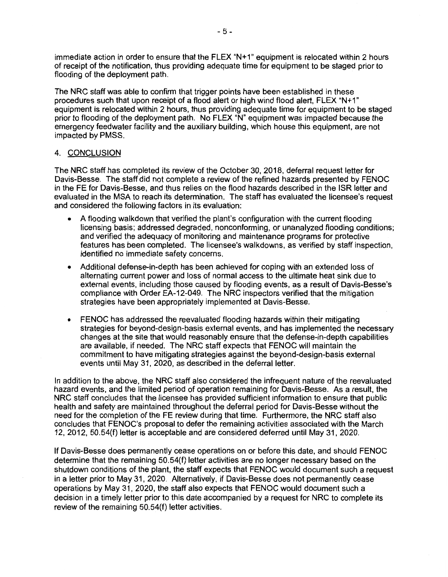immediate action in order to ensure that the FLEX "N+1" equipment is relocated within 2 hours of receipt of the notification, thus providing adequate time for equipment to be staged prior to flooding of the deployment path.

The NRC staff was able to confirm that trigger points have been established in these procedures such that upon receipt of a flood alert or high wind flood alert, FLEX "N+1" equipment is relocated within 2 hours, thus providing adequate time for equipment to be staged prior to flooding of the deployment path. No FLEX "N" equipment was impacted because the emergency feedwater facility and the auxiliary building, which house this equipment, are not impacted by PMSS.

## 4. CONCLUSION

The NRC staff has completed its review of the October 30, 2018, deferral request letter for Davis-Besse. The staff did not complete a review of the refined hazards presented by FENOC in the FE for Davis-Besse, and thus relies on the flood hazards described in the ISR letter and evaluated in the MSA to reach its determination. The staff has evaluated the licensee's request and considered the following factors in its evaluation:

- A flooding walkdown that verified the plant's configuration with the current flooding licensing basis; addressed degraded, nonconforming, or unanalyzed flooding conditions; and verified the adequacy of monitoring and maintenance programs for protective features has been completed. The licensee's walkdowns, as verified by staff inspection, identified no immediate safety concerns.
- Additional defense-in-depth has been achieved for coping with an extended loss of alternating current power and loss of normal access to the ultimate heat sink due to external events, including those caused by flooding events, as a result of Davis-Besse's compliance with Order EA-12-049. The NRC inspectors verified that the mitigation strategies have been appropriately implemented at Davis-Besse.
- FENOC has addressed the reevaluated flooding hazards within their mitigating strategies for beyond-design-basis external events, and has implemented the necessary changes at the site that would reasonably ensure that the defense-in-depth capabilities are available, if needed. The NRC staff expects that FENOC will maintain the commitment to have mitigating strategies against the beyond-design-basis external events until May 31, 2020, as described in the deferral letter.

In addition to the above, the NRC staff also considered the infrequent nature of the reevaluated hazard events, and the limited period of operation remaining for Davis-Besse. As a result, the NRC staff concludes that the licensee has provided sufficient information to ensure that public health and safety are maintained throughout the deferral period for Davis-Besse without the need for the completion of the FE review during that time. Furthermore, the NRC staff also concludes that FENOC's proposal to defer the remaining activities associated with the March 12, 2012, 50.54(f) letter is acceptable and are considered deferred until May 31, 2020.

If Davis-Besse does permanently cease operations on or before this date, and should FENOC determine that the remaining 50.54(f) letter activities are no longer necessary based on the shutdown conditions of the plant, the staff expects that FENOC would document such a request in a letter prior to May 31, 2020. Alternatively, if Davis-Besse does not permanently cease operations by May 31, 2020, the staff also expects that FENOC would document such a decision in a timely letter prior to this date accompanied by a request for NRC to complete its review of the remaining 50.54(f) letter activities.